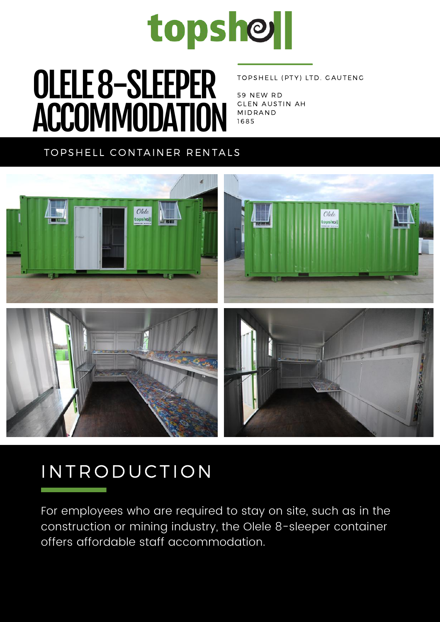

# $\overline{\mathbf{O}}$  of  $\overline{\mathbf{A}}$  and  $\overline{\mathbf{A}}$   $\overline{\mathbf{C}}$ OLELE 8-SLEEPER ACCOMMODATION

#### TOPSHELL (PTY) LTD. GAUTENG

59 NEW RD **GLEN AUSTIN AH MIDRAND** 1 6 8 5

### TOPSHELL CONTAINER RENTALS



## IN TRODUCTION

For employees who are required to stay on site, such as in the construction or mining industry, the Olele 8-sleeper container offers affordable staff accommodation.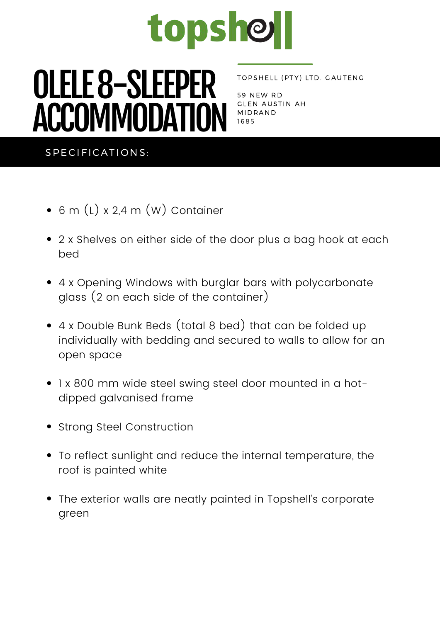

# $\overline{\mathbf{O}}$  of  $\overline{\mathbf{A}}$  and  $\overline{\mathbf{A}}$   $\overline{\mathbf{A}}$ OLELE 8-SLEEPER ACCOMMODATION

#### TOPSHELL (PTY) LTD. GAUTENG

59 NEW RD GLEN AUSTIN AH **MIDRAND** 1 6 8 5

#### SPECIFICATIONS:

- 6 m (L) x 2,4 m (W) Container
- 2 x Shelves on either side of the door plus a bag hook at each bed
- 4 x Opening Windows with burglar bars with polycarbonate glass (2 on each side of the container)
- 4 x Double Bunk Beds (total 8 bed) that can be folded up individually with bedding and secured to walls to allow for an open space
- 1 x 800 mm wide steel swing steel door mounted in a hotdipped galvanised frame
- Strong Steel Construction
- To reflect sunlight and reduce the internal temperature, the roof is painted white
- The exterior walls are neatly painted in Topshell's corporate green